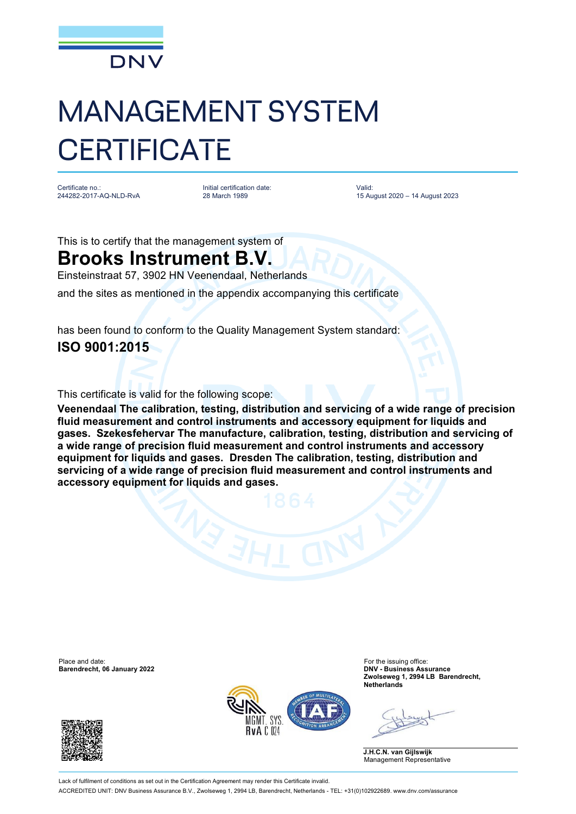

Certificate no.: 244282-2017-AQ-NLD-RvA Initial certification date: 28 March 1989

Valid: 15 August 2020 – 14 August 2023

This is to certify that the management system of

#### **Brooks Instrument B.V.**

Einsteinstraat 57, 3902 HN Veenendaal, Netherlands

and the sites as mentioned in the appendix accompanying this certificate

has been found to conform to the Quality Management System standard: **ISO 9001:2015**

This certificate is valid for the following scope:

**Veenendaal The calibration, testing, distribution and servicing of a wide range of precision fluid measurement and control instruments and accessory equipment for liquids and gases. Szekesfehervar The manufacture, calibration, testing, distribution and servicing of a wide range of precision fluid measurement and control instruments and accessory equipment for liquids and gases. Dresden The calibration, testing, distribution and servicing of a wide range of precision fluid measurement and control instruments and accessory equipment for liquids and gases.**

Place and date: For the issuing office:<br> **Barendrecht, 06 January 2022 Exercía Contract Contract Contract Contract Contract Contract Contract Contract Contract Contract Contract Contract Contract Contract Contract Contra Barendrecht, 06 January 2022** 





**Zwolseweg 1, 2994 LB Barendrecht, Netherlands**

**J.H.C.N. van Gijlswijk** Management Representative

Lack of fulfilment of conditions as set out in the Certification Agreement may render this Certificate invalid ACCREDITED UNIT: DNV Business Assurance B.V., Zwolseweg 1, 2994 LB, Barendrecht, Netherlands - TEL: +31(0)102922689. [www.dnv.com/assurance](http://www.dnv.com/assurance)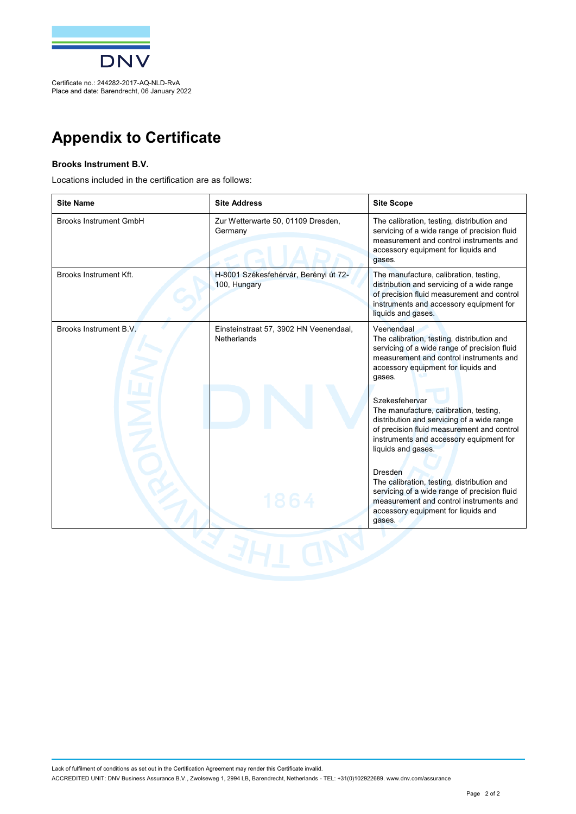

Place and date: Barendrecht, 06 January 2022

### **Appendix to Certificate**

#### **Brooks Instrument B.V.**

Locations included in the certification are as follows:

| <b>Site Name</b>              | <b>Site Address</b>                                   | <b>Site Scope</b>                                                                                                                                                                                                     |
|-------------------------------|-------------------------------------------------------|-----------------------------------------------------------------------------------------------------------------------------------------------------------------------------------------------------------------------|
| <b>Brooks Instrument GmbH</b> | Zur Wetterwarte 50, 01109 Dresden,<br>Germany         | The calibration, testing, distribution and<br>servicing of a wide range of precision fluid<br>measurement and control instruments and<br>accessory equipment for liquids and<br>gases.                                |
| Brooks Instrument Kft.        | H-8001 Székesfehérvár, Berényi út 72-<br>100, Hungary | The manufacture, calibration, testing,<br>distribution and servicing of a wide range<br>of precision fluid measurement and control<br>instruments and accessory equipment for<br>liquids and gases.                   |
| Brooks Instrument B.V.        | Einsteinstraat 57, 3902 HN Veenendaal,<br>Netherlands | Veenendaal<br>The calibration, testing, distribution and<br>servicing of a wide range of precision fluid<br>measurement and control instruments and<br>accessory equipment for liquids and<br>gases.                  |
|                               |                                                       | Szekesfehervar<br>The manufacture, calibration, testing,<br>distribution and servicing of a wide range<br>of precision fluid measurement and control<br>instruments and accessory equipment for<br>liquids and gases. |
|                               | 1864                                                  | <b>Dresden</b><br>The calibration, testing, distribution and<br>servicing of a wide range of precision fluid<br>measurement and control instruments and<br>accessory equipment for liquids and<br>qases.              |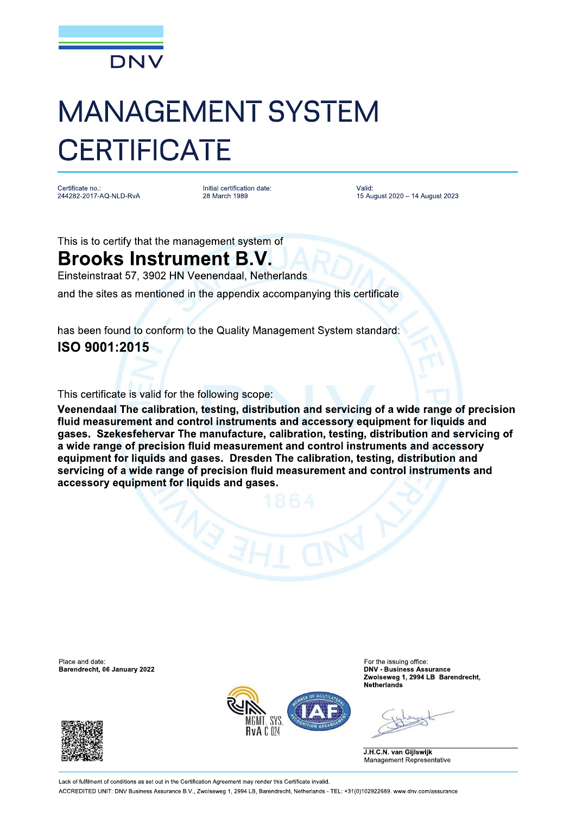

Certificate no. 244282-2017-AQ-NLD-RvA Initial certification date: 28 March 1989

Valid: 15 August 2020 - 14 August 2023

This is to certify that the management system of

#### **Brooks Instrument B.V.**

Einsteinstraat 57, 3902 HN Veenendaal, Netherlands

and the sites as mentioned in the appendix accompanying this certificate

has been found to conform to the Quality Management System standard: ISO 9001:2015

This certificate is valid for the following scope:

Veenendaal The calibration, testing, distribution and servicing of a wide range of precision fluid measurement and control instruments and accessory equipment for liquids and gases. Szekesfehervar The manufacture, calibration, testing, distribution and servicing of a wide range of precision fluid measurement and control instruments and accessory equipment for liquids and gases. Dresden The calibration, testing, distribution and servicing of a wide range of precision fluid measurement and control instruments and accessory equipment for liquids and gases.

Place and date: Barendrecht, 06 January 2022





For the issuing office: **DNV - Business Assurance** Zwolseweg 1, 2994 LB Barendrecht, **Netherlands** 

J.H.C.N. van Gijlswijk Management Representative

Lack of fulfilment of conditions as set out in the Certification Agreement may render this Certificate invalid ACCREDITED UNIT: DNV Business Assurance B.V., Zwolseweg 1, 2994 LB, Barendrecht, Netherlands - TEL: +31(0)102922689, www.dnv.com/assurance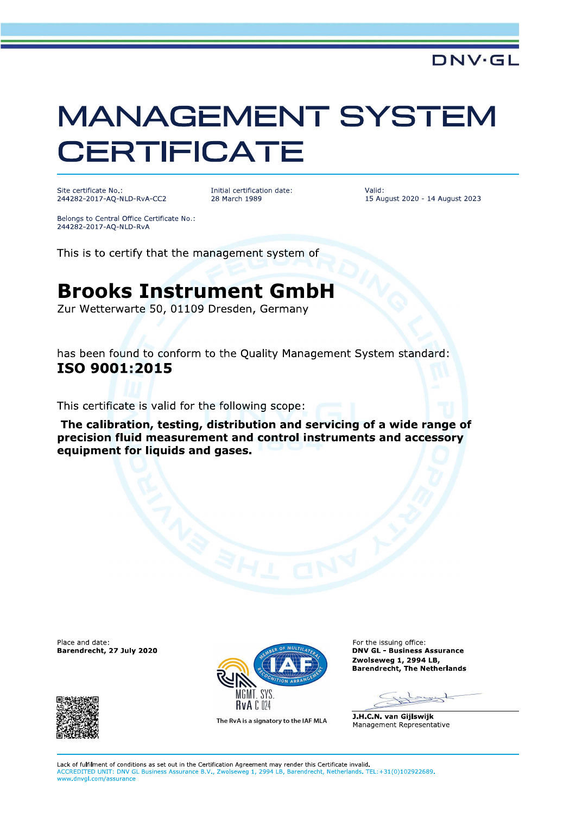Site certificate No.: 244282-2017-AO-NLD-RvA-CC2

Initial certification date: 28 March 1989

Valid: 15 August 2020 - 14 August 2023

**DNV·GL** 

Belongs to Central Office Certificate No.: 244282-2017-AQ-NLD-RvA

This is to certify that the management system of

### **Brooks Instrument GmbH**

Zur Wetterwarte 50, 01109 Dresden, Germany

has been found to conform to the Quality Management System standard: ISO 9001:2015

This certificate is valid for the following scope:

The calibration, testing, distribution and servicing of a wide range of precision fluid measurement and control instruments and accessory equipment for liquids and gases.

Place and date: Barendrecht, 27 July 2020





The RvA is a signatory to the IAF MLA

For the issuing office: **DNV GL - Business Assurance** Zwolseweg 1, 2994 LB, **Barendrecht, The Netherlands** 

J.H.C.N. van Gijlswijk Management Representative

Lack of fulfilment of conditions as set out in the Certification Agreement may render this Certificate invalid. ACCREDITED UNIT: DNV GL Business Assurance B.V., Zwolseweg 1, 2994 LB, Barendrecht, Netherlands. TEL:+31(0)102922689. www.dnvgl.com/assurance